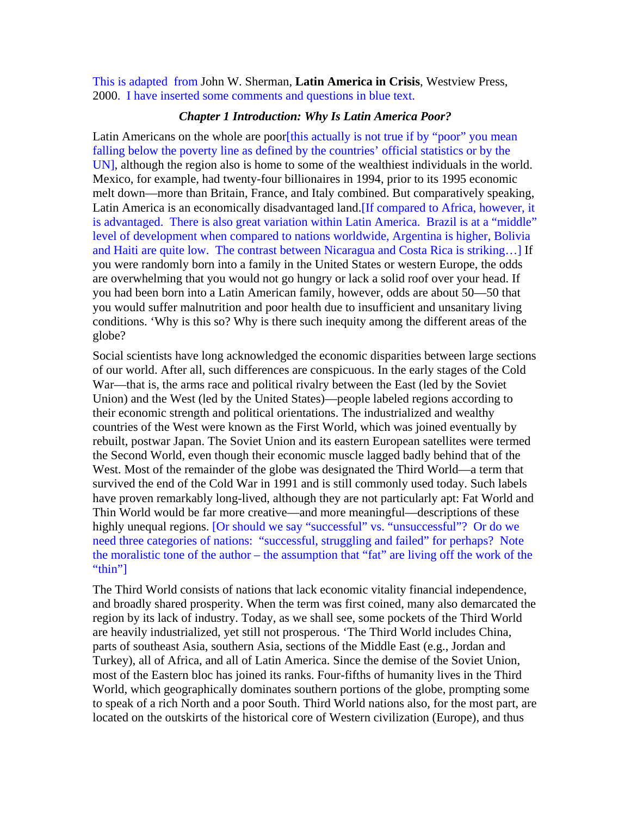This is adapted from John W. Sherman, **Latin America in Crisis**, Westview Press, 2000. I have inserted some comments and questions in blue text.

#### *Chapter 1 Introduction: Why Is Latin America Poor?*

Latin Americans on the whole are poor [this actually is not true if by "poor" you mean falling below the poverty line as defined by the countries' official statistics or by the UN], although the region also is home to some of the wealthiest individuals in the world. Mexico, for example, had twenty-four billionaires in 1994, prior to its 1995 economic melt down—more than Britain, France, and Italy combined. But comparatively speaking, Latin America is an economically disadvantaged land.[If compared to Africa, however, it is advantaged. There is also great variation within Latin America. Brazil is at a "middle" level of development when compared to nations worldwide, Argentina is higher, Bolivia and Haiti are quite low. The contrast between Nicaragua and Costa Rica is striking…] If you were randomly born into a family in the United States or western Europe, the odds are overwhelming that you would not go hungry or lack a solid roof over your head. If you had been born into a Latin American family, however, odds are about 50—50 that you would suffer malnutrition and poor health due to insufficient and unsanitary living conditions. 'Why is this so? Why is there such inequity among the different areas of the globe?

Social scientists have long acknowledged the economic disparities between large sections of our world. After all, such differences are conspicuous. In the early stages of the Cold War—that is, the arms race and political rivalry between the East (led by the Soviet Union) and the West (led by the United States)—people labeled regions according to their economic strength and political orientations. The industrialized and wealthy countries of the West were known as the First World, which was joined eventually by rebuilt, postwar Japan. The Soviet Union and its eastern European satellites were termed the Second World, even though their economic muscle lagged badly behind that of the West. Most of the remainder of the globe was designated the Third World—a term that survived the end of the Cold War in 1991 and is still commonly used today. Such labels have proven remarkably long-lived, although they are not particularly apt: Fat World and Thin World would be far more creative—and more meaningful—descriptions of these highly unequal regions. [Or should we say "successful" vs. "unsuccessful"? Or do we need three categories of nations: "successful, struggling and failed" for perhaps? Note the moralistic tone of the author – the assumption that "fat" are living off the work of the "thin"]

The Third World consists of nations that lack economic vitality financial independence, and broadly shared prosperity. When the term was first coined, many also demarcated the region by its lack of industry. Today, as we shall see, some pockets of the Third World are heavily industrialized, yet still not prosperous. 'The Third World includes China, parts of southeast Asia, southern Asia, sections of the Middle East (e.g., Jordan and Turkey), all of Africa, and all of Latin America. Since the demise of the Soviet Union, most of the Eastern bloc has joined its ranks. Four-fifths of humanity lives in the Third World, which geographically dominates southern portions of the globe, prompting some to speak of a rich North and a poor South. Third World nations also, for the most part, are located on the outskirts of the historical core of Western civilization (Europe), and thus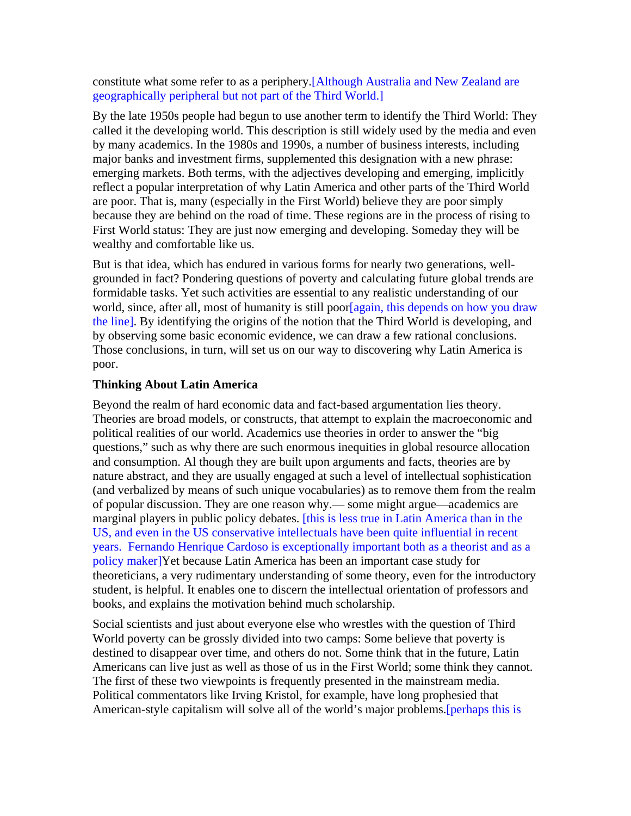constitute what some refer to as a periphery.[Although Australia and New Zealand are geographically peripheral but not part of the Third World.]

By the late 1950s people had begun to use another term to identify the Third World: They called it the developing world. This description is still widely used by the media and even by many academics. In the 1980s and 1990s, a number of business interests, including major banks and investment firms, supplemented this designation with a new phrase: emerging markets. Both terms, with the adjectives developing and emerging, implicitly reflect a popular interpretation of why Latin America and other parts of the Third World are poor. That is, many (especially in the First World) believe they are poor simply because they are behind on the road of time. These regions are in the process of rising to First World status: They are just now emerging and developing. Someday they will be wealthy and comfortable like us.

But is that idea, which has endured in various forms for nearly two generations, wellgrounded in fact? Pondering questions of poverty and calculating future global trends are formidable tasks. Yet such activities are essential to any realistic understanding of our world, since, after all, most of humanity is still poor[again, this depends on how you draw the line]. By identifying the origins of the notion that the Third World is developing, and by observing some basic economic evidence, we can draw a few rational conclusions. Those conclusions, in turn, will set us on our way to discovering why Latin America is poor.

## **Thinking About Latin America**

Beyond the realm of hard economic data and fact-based argumentation lies theory. Theories are broad models, or constructs, that attempt to explain the macroeconomic and political realities of our world. Academics use theories in order to answer the "big questions," such as why there are such enormous inequities in global resource allocation and consumption. Al though they are built upon arguments and facts, theories are by nature abstract, and they are usually engaged at such a level of intellectual sophistication (and verbalized by means of such unique vocabularies) as to remove them from the realm of popular discussion. They are one reason why.— some might argue—academics are marginal players in public policy debates. [this is less true in Latin America than in the US, and even in the US conservative intellectuals have been quite influential in recent years. Fernando Henrique Cardoso is exceptionally important both as a theorist and as a policy maker]Yet because Latin America has been an important case study for theoreticians, a very rudimentary understanding of some theory, even for the introductory student, is helpful. It enables one to discern the intellectual orientation of professors and books, and explains the motivation behind much scholarship.

Social scientists and just about everyone else who wrestles with the question of Third World poverty can be grossly divided into two camps: Some believe that poverty is destined to disappear over time, and others do not. Some think that in the future, Latin Americans can live just as well as those of us in the First World; some think they cannot. The first of these two viewpoints is frequently presented in the mainstream media. Political commentators like Irving Kristol, for example, have long prophesied that American-style capitalism will solve all of the world's major problems.[perhaps this is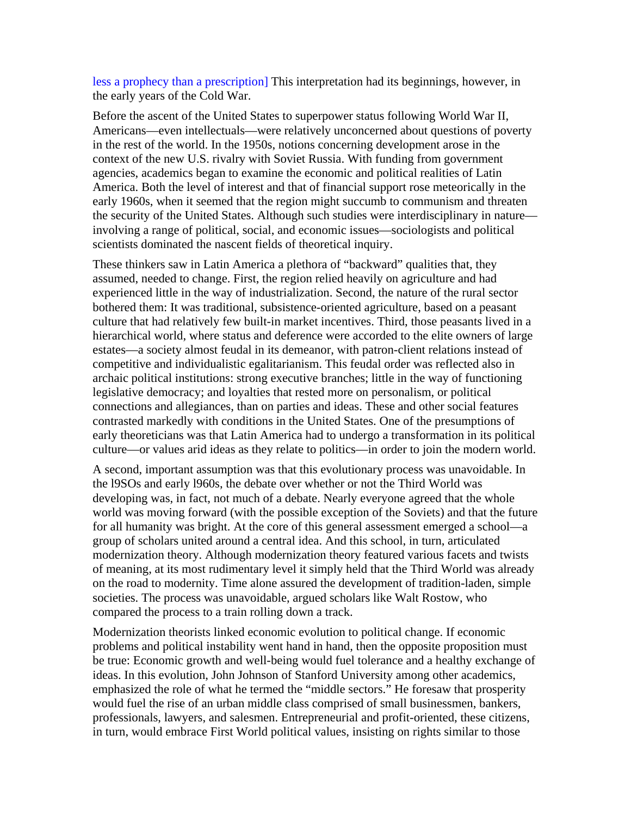less a prophecy than a prescription] This interpretation had its beginnings, however, in the early years of the Cold War.

Before the ascent of the United States to superpower status following World War II, Americans—even intellectuals—were relatively unconcerned about questions of poverty in the rest of the world. In the 1950s, notions concerning development arose in the context of the new U.S. rivalry with Soviet Russia. With funding from government agencies, academics began to examine the economic and political realities of Latin America. Both the level of interest and that of financial support rose meteorically in the early 1960s, when it seemed that the region might succumb to communism and threaten the security of the United States. Although such studies were interdisciplinary in nature involving a range of political, social, and economic issues—sociologists and political scientists dominated the nascent fields of theoretical inquiry.

These thinkers saw in Latin America a plethora of "backward" qualities that, they assumed, needed to change. First, the region relied heavily on agriculture and had experienced little in the way of industrialization. Second, the nature of the rural sector bothered them: It was traditional, subsistence-oriented agriculture, based on a peasant culture that had relatively few built-in market incentives. Third, those peasants lived in a hierarchical world, where status and deference were accorded to the elite owners of large estates—a society almost feudal in its demeanor, with patron-client relations instead of competitive and individualistic egalitarianism. This feudal order was reflected also in archaic political institutions: strong executive branches; little in the way of functioning legislative democracy; and loyalties that rested more on personalism, or political connections and allegiances, than on parties and ideas. These and other social features contrasted markedly with conditions in the United States. One of the presumptions of early theoreticians was that Latin America had to undergo a transformation in its political culture—or values arid ideas as they relate to politics—in order to join the modern world.

A second, important assumption was that this evolutionary process was unavoidable. In the l9SOs and early l960s, the debate over whether or not the Third World was developing was, in fact, not much of a debate. Nearly everyone agreed that the whole world was moving forward (with the possible exception of the Soviets) and that the future for all humanity was bright. At the core of this general assessment emerged a school—a group of scholars united around a central idea. And this school, in turn, articulated modernization theory. Although modernization theory featured various facets and twists of meaning, at its most rudimentary level it simply held that the Third World was already on the road to modernity. Time alone assured the development of tradition-laden, simple societies. The process was unavoidable, argued scholars like Walt Rostow, who compared the process to a train rolling down a track.

Modernization theorists linked economic evolution to political change. If economic problems and political instability went hand in hand, then the opposite proposition must be true: Economic growth and well-being would fuel tolerance and a healthy exchange of ideas. In this evolution, John Johnson of Stanford University among other academics, emphasized the role of what he termed the "middle sectors." He foresaw that prosperity would fuel the rise of an urban middle class comprised of small businessmen, bankers, professionals, lawyers, and salesmen. Entrepreneurial and profit-oriented, these citizens, in turn, would embrace First World political values, insisting on rights similar to those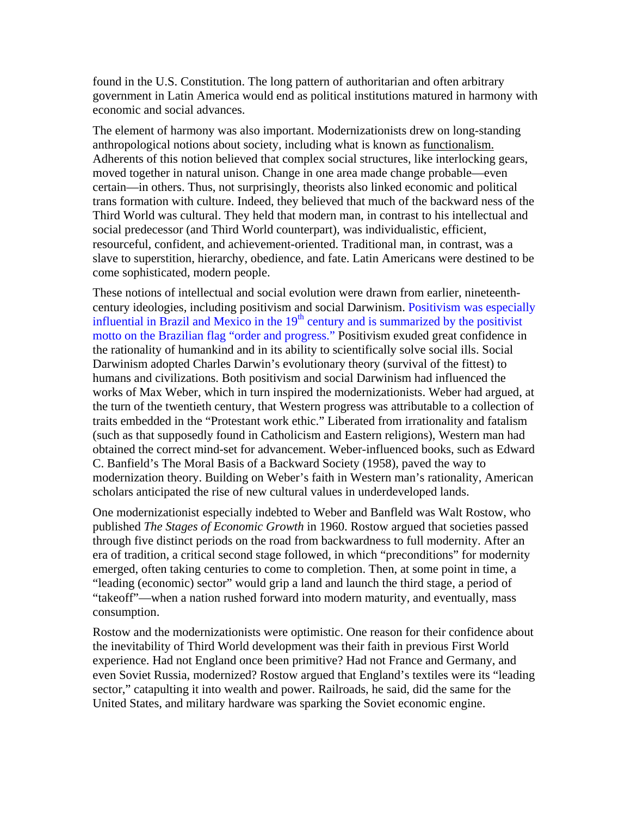found in the U.S. Constitution. The long pattern of authoritarian and often arbitrary government in Latin America would end as political institutions matured in harmony with economic and social advances.

The element of harmony was also important. Modernizationists drew on long-standing anthropological notions about society, including what is known as functionalism. Adherents of this notion believed that complex social structures, like interlocking gears, moved together in natural unison. Change in one area made change probable—even certain—in others. Thus, not surprisingly, theorists also linked economic and political trans formation with culture. Indeed, they believed that much of the backward ness of the Third World was cultural. They held that modern man, in contrast to his intellectual and social predecessor (and Third World counterpart), was individualistic, efficient, resourceful, confident, and achievement-oriented. Traditional man, in contrast, was a slave to superstition, hierarchy, obedience, and fate. Latin Americans were destined to be come sophisticated, modern people.

These notions of intellectual and social evolution were drawn from earlier, nineteenthcentury ideologies, including positivism and social Darwinism. Positivism was especially influential in Brazil and Mexico in the  $19<sup>th</sup>$  century and is summarized by the positivist motto on the Brazilian flag "order and progress." Positivism exuded great confidence in the rationality of humankind and in its ability to scientifically solve social ills. Social Darwinism adopted Charles Darwin's evolutionary theory (survival of the fittest) to humans and civilizations. Both positivism and social Darwinism had influenced the works of Max Weber, which in turn inspired the modernizationists. Weber had argued, at the turn of the twentieth century, that Western progress was attributable to a collection of traits embedded in the "Protestant work ethic." Liberated from irrationality and fatalism (such as that supposedly found in Catholicism and Eastern religions), Western man had obtained the correct mind-set for advancement. Weber-influenced books, such as Edward C. Banfield's The Moral Basis of a Backward Society (1958), paved the way to modernization theory. Building on Weber's faith in Western man's rationality, American scholars anticipated the rise of new cultural values in underdeveloped lands.

One modernizationist especially indebted to Weber and Banfleld was Walt Rostow, who published *The Stages of Economic Growth* in 1960. Rostow argued that societies passed through five distinct periods on the road from backwardness to full modernity. After an era of tradition, a critical second stage followed, in which "preconditions" for modernity emerged, often taking centuries to come to completion. Then, at some point in time, a "leading (economic) sector" would grip a land and launch the third stage, a period of "takeoff"—when a nation rushed forward into modern maturity, and eventually, mass consumption.

Rostow and the modernizationists were optimistic. One reason for their confidence about the inevitability of Third World development was their faith in previous First World experience. Had not England once been primitive? Had not France and Germany, and even Soviet Russia, modernized? Rostow argued that England's textiles were its "leading sector," catapulting it into wealth and power. Railroads, he said, did the same for the United States, and military hardware was sparking the Soviet economic engine.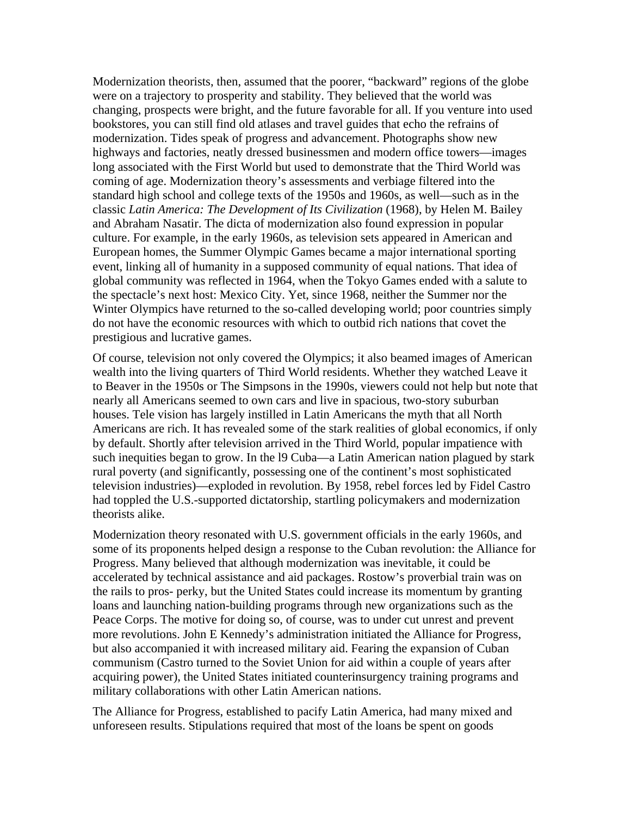Modernization theorists, then, assumed that the poorer, "backward" regions of the globe were on a trajectory to prosperity and stability. They believed that the world was changing, prospects were bright, and the future favorable for all. If you venture into used bookstores, you can still find old atlases and travel guides that echo the refrains of modernization. Tides speak of progress and advancement. Photographs show new highways and factories, neatly dressed businessmen and modern office towers—images long associated with the First World but used to demonstrate that the Third World was coming of age. Modernization theory's assessments and verbiage filtered into the standard high school and college texts of the 1950s and 1960s, as well—such as in the classic *Latin America: The Development of Its Civilization* (1968), by Helen M. Bailey and Abraham Nasatir. The dicta of modernization also found expression in popular culture. For example, in the early 1960s, as television sets appeared in American and European homes, the Summer Olympic Games became a major international sporting event, linking all of humanity in a supposed community of equal nations. That idea of global community was reflected in 1964, when the Tokyo Games ended with a salute to the spectacle's next host: Mexico City. Yet, since 1968, neither the Summer nor the Winter Olympics have returned to the so-called developing world; poor countries simply do not have the economic resources with which to outbid rich nations that covet the prestigious and lucrative games.

Of course, television not only covered the Olympics; it also beamed images of American wealth into the living quarters of Third World residents. Whether they watched Leave it to Beaver in the 1950s or The Simpsons in the 1990s, viewers could not help but note that nearly all Americans seemed to own cars and live in spacious, two-story suburban houses. Tele vision has largely instilled in Latin Americans the myth that all North Americans are rich. It has revealed some of the stark realities of global economics, if only by default. Shortly after television arrived in the Third World, popular impatience with such inequities began to grow. In the l9 Cuba—a Latin American nation plagued by stark rural poverty (and significantly, possessing one of the continent's most sophisticated television industries)—exploded in revolution. By 1958, rebel forces led by Fidel Castro had toppled the U.S.-supported dictatorship, startling policymakers and modernization theorists alike.

Modernization theory resonated with U.S. government officials in the early 1960s, and some of its proponents helped design a response to the Cuban revolution: the Alliance for Progress. Many believed that although modernization was inevitable, it could be accelerated by technical assistance and aid packages. Rostow's proverbial train was on the rails to pros- perky, but the United States could increase its momentum by granting loans and launching nation-building programs through new organizations such as the Peace Corps. The motive for doing so, of course, was to under cut unrest and prevent more revolutions. John E Kennedy's administration initiated the Alliance for Progress, but also accompanied it with increased military aid. Fearing the expansion of Cuban communism (Castro turned to the Soviet Union for aid within a couple of years after acquiring power), the United States initiated counterinsurgency training programs and military collaborations with other Latin American nations.

The Alliance for Progress, established to pacify Latin America, had many mixed and unforeseen results. Stipulations required that most of the loans be spent on goods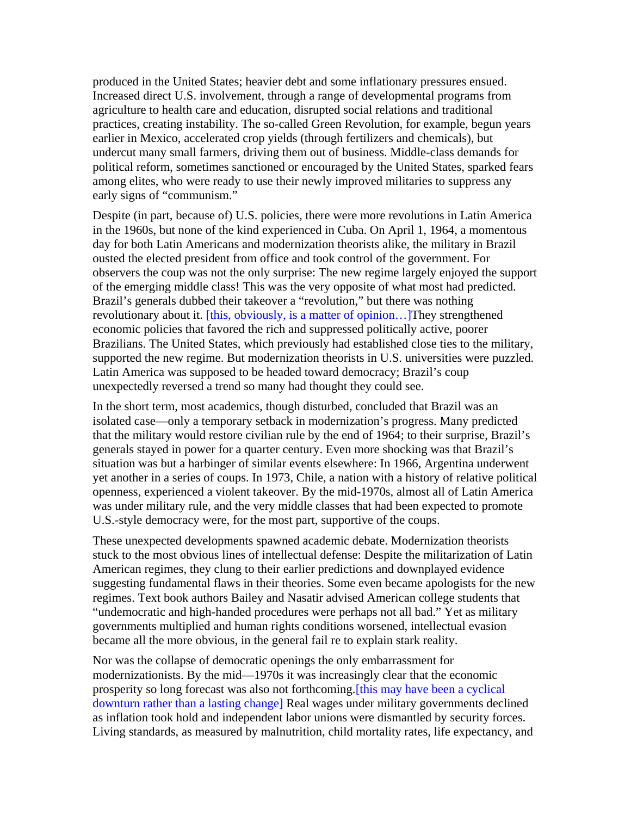produced in the United States; heavier debt and some inflationary pressures ensued. Increased direct U.S. involvement, through a range of developmental programs from agriculture to health care and education, disrupted social relations and traditional practices, creating instability. The so-called Green Revolution, for example, begun years earlier in Mexico, accelerated crop yields (through fertilizers and chemicals), but undercut many small farmers, driving them out of business. Middle-class demands for political reform, sometimes sanctioned or encouraged by the United States, sparked fears among elites, who were ready to use their newly improved militaries to suppress any early signs of "communism."

Despite (in part, because of) U.S. policies, there were more revolutions in Latin America in the 1960s, but none of the kind experienced in Cuba. On April 1, 1964, a momentous day for both Latin Americans and modernization theorists alike, the military in Brazil ousted the elected president from office and took control of the government. For observers the coup was not the only surprise: The new regime largely enjoyed the support of the emerging middle class! This was the very opposite of what most had predicted. Brazil's generals dubbed their takeover a "revolution," but there was nothing revolutionary about it. [this, obviously, is a matter of opinion...] They strengthened economic policies that favored the rich and suppressed politically active, poorer Brazilians. The United States, which previously had established close ties to the military, supported the new regime. But modernization theorists in U.S. universities were puzzled. Latin America was supposed to be headed toward democracy; Brazil's coup unexpectedly reversed a trend so many had thought they could see.

In the short term, most academics, though disturbed, concluded that Brazil was an isolated case—only a temporary setback in modernization's progress. Many predicted that the military would restore civilian rule by the end of 1964; to their surprise, Brazil's generals stayed in power for a quarter century. Even more shocking was that Brazil's situation was but a harbinger of similar events elsewhere: In 1966, Argentina underwent yet another in a series of coups. In 1973, Chile, a nation with a history of relative political openness, experienced a violent takeover. By the mid-1970s, almost all of Latin America was under military rule, and the very middle classes that had been expected to promote U.S.-style democracy were, for the most part, supportive of the coups.

These unexpected developments spawned academic debate. Modernization theorists stuck to the most obvious lines of intellectual defense: Despite the militarization of Latin American regimes, they clung to their earlier predictions and downplayed evidence suggesting fundamental flaws in their theories. Some even became apologists for the new regimes. Text book authors Bailey and Nasatir advised American college students that "undemocratic and high-handed procedures were perhaps not all bad." Yet as military governments multiplied and human rights conditions worsened, intellectual evasion became all the more obvious, in the general fail re to explain stark reality.

Nor was the collapse of democratic openings the only embarrassment for modernizationists. By the mid—1970s it was increasingly clear that the economic prosperity so long forecast was also not forthcoming.[this may have been a cyclical downturn rather than a lasting change] Real wages under military governments declined as inflation took hold and independent labor unions were dismantled by security forces. Living standards, as measured by malnutrition, child mortality rates, life expectancy, and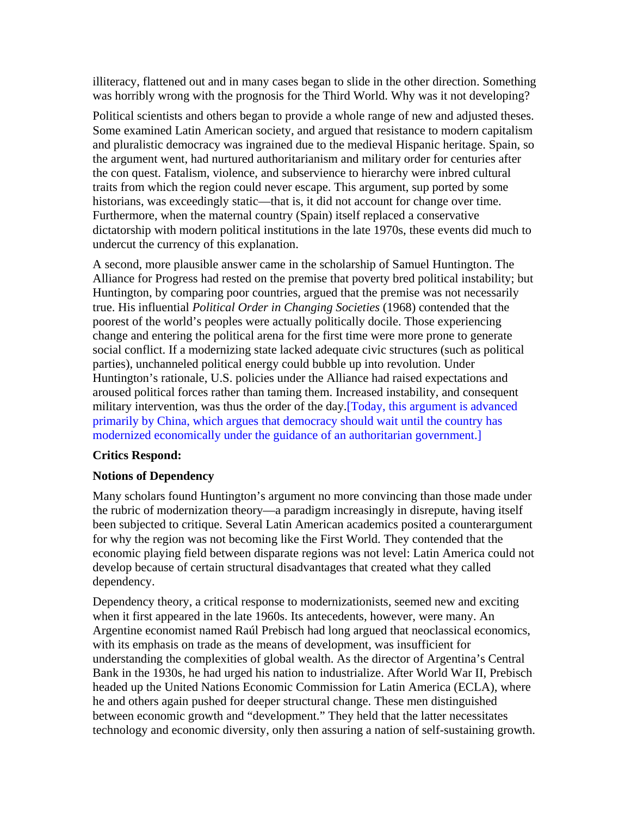illiteracy, flattened out and in many cases began to slide in the other direction. Something was horribly wrong with the prognosis for the Third World. Why was it not developing?

Political scientists and others began to provide a whole range of new and adjusted theses. Some examined Latin American society, and argued that resistance to modern capitalism and pluralistic democracy was ingrained due to the medieval Hispanic heritage. Spain, so the argument went, had nurtured authoritarianism and military order for centuries after the con quest. Fatalism, violence, and subservience to hierarchy were inbred cultural traits from which the region could never escape. This argument, sup ported by some historians, was exceedingly static—that is, it did not account for change over time. Furthermore, when the maternal country (Spain) itself replaced a conservative dictatorship with modern political institutions in the late 1970s, these events did much to undercut the currency of this explanation.

A second, more plausible answer came in the scholarship of Samuel Huntington. The Alliance for Progress had rested on the premise that poverty bred political instability; but Huntington, by comparing poor countries, argued that the premise was not necessarily true. His influential *Political Order in Changing Societies* (1968) contended that the poorest of the world's peoples were actually politically docile. Those experiencing change and entering the political arena for the first time were more prone to generate social conflict. If a modernizing state lacked adequate civic structures (such as political parties), unchanneled political energy could bubble up into revolution. Under Huntington's rationale, U.S. policies under the Alliance had raised expectations and aroused political forces rather than taming them. Increased instability, and consequent military intervention, was thus the order of the day.[Today, this argument is advanced primarily by China, which argues that democracy should wait until the country has modernized economically under the guidance of an authoritarian government.]

# **Critics Respond:**

# **Notions of Dependency**

Many scholars found Huntington's argument no more convincing than those made under the rubric of modernization theory—a paradigm increasingly in disrepute, having itself been subjected to critique. Several Latin American academics posited a counterargument for why the region was not becoming like the First World. They contended that the economic playing field between disparate regions was not level: Latin America could not develop because of certain structural disadvantages that created what they called dependency.

Dependency theory, a critical response to modernizationists, seemed new and exciting when it first appeared in the late 1960s. Its antecedents, however, were many. An Argentine economist named Raúl Prebisch had long argued that neoclassical economics, with its emphasis on trade as the means of development, was insufficient for understanding the complexities of global wealth. As the director of Argentina's Central Bank in the 1930s, he had urged his nation to industrialize. After World War II, Prebisch headed up the United Nations Economic Commission for Latin America (ECLA), where he and others again pushed for deeper structural change. These men distinguished between economic growth and "development." They held that the latter necessitates technology and economic diversity, only then assuring a nation of self-sustaining growth.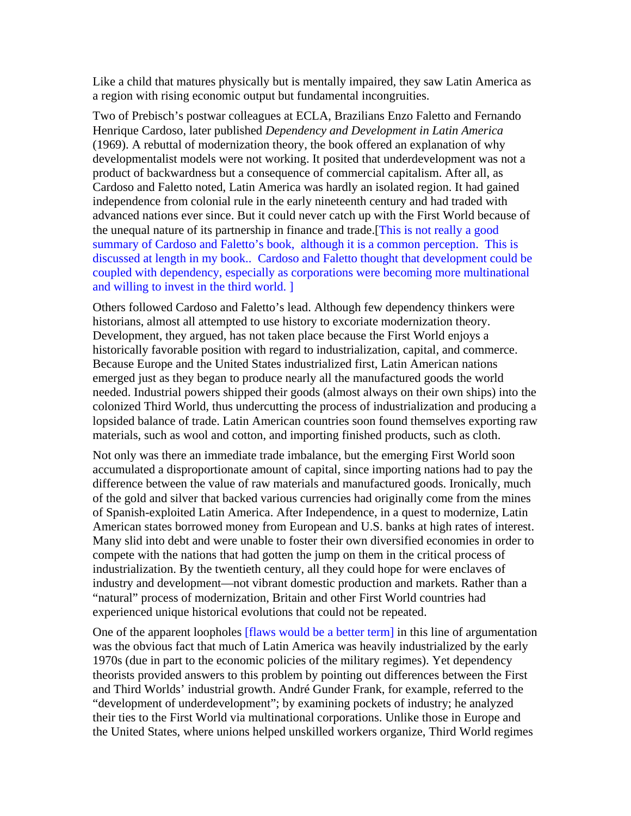Like a child that matures physically but is mentally impaired, they saw Latin America as a region with rising economic output but fundamental incongruities.

Two of Prebisch's postwar colleagues at ECLA, Brazilians Enzo Faletto and Fernando Henrique Cardoso, later published *Dependency and Development in Latin America* (1969). A rebuttal of modernization theory, the book offered an explanation of why developmentalist models were not working. It posited that underdevelopment was not a product of backwardness but a consequence of commercial capitalism. After all, as Cardoso and Faletto noted, Latin America was hardly an isolated region. It had gained independence from colonial rule in the early nineteenth century and had traded with advanced nations ever since. But it could never catch up with the First World because of the unequal nature of its partnership in finance and trade.[This is not really a good summary of Cardoso and Faletto's book, although it is a common perception. This is discussed at length in my book.. Cardoso and Faletto thought that development could be coupled with dependency, especially as corporations were becoming more multinational and willing to invest in the third world. ]

Others followed Cardoso and Faletto's lead. Although few dependency thinkers were historians, almost all attempted to use history to excoriate modernization theory. Development, they argued, has not taken place because the First World enjoys a historically favorable position with regard to industrialization, capital, and commerce. Because Europe and the United States industrialized first, Latin American nations emerged just as they began to produce nearly all the manufactured goods the world needed. Industrial powers shipped their goods (almost always on their own ships) into the colonized Third World, thus undercutting the process of industrialization and producing a lopsided balance of trade. Latin American countries soon found themselves exporting raw materials, such as wool and cotton, and importing finished products, such as cloth.

Not only was there an immediate trade imbalance, but the emerging First World soon accumulated a disproportionate amount of capital, since importing nations had to pay the difference between the value of raw materials and manufactured goods. Ironically, much of the gold and silver that backed various currencies had originally come from the mines of Spanish-exploited Latin America. After Independence, in a quest to modernize, Latin American states borrowed money from European and U.S. banks at high rates of interest. Many slid into debt and were unable to foster their own diversified economies in order to compete with the nations that had gotten the jump on them in the critical process of industrialization. By the twentieth century, all they could hope for were enclaves of industry and development—not vibrant domestic production and markets. Rather than a "natural" process of modernization, Britain and other First World countries had experienced unique historical evolutions that could not be repeated.

One of the apparent loopholes [flaws would be a better term] in this line of argumentation was the obvious fact that much of Latin America was heavily industrialized by the early 1970s (due in part to the economic policies of the military regimes). Yet dependency theorists provided answers to this problem by pointing out differences between the First and Third Worlds' industrial growth. André Gunder Frank, for example, referred to the "development of underdevelopment"; by examining pockets of industry; he analyzed their ties to the First World via multinational corporations. Unlike those in Europe and the United States, where unions helped unskilled workers organize, Third World regimes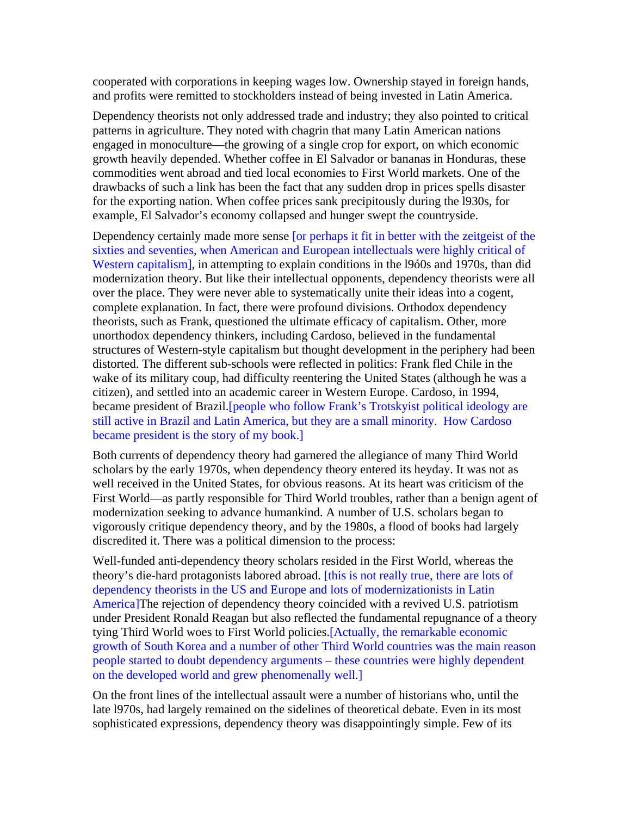cooperated with corporations in keeping wages low. Ownership stayed in foreign hands, and profits were remitted to stockholders instead of being invested in Latin America.

Dependency theorists not only addressed trade and industry; they also pointed to critical patterns in agriculture. They noted with chagrin that many Latin American nations engaged in monoculture—the growing of a single crop for export, on which economic growth heavily depended. Whether coffee in El Salvador or bananas in Honduras, these commodities went abroad and tied local economies to First World markets. One of the drawbacks of such a link has been the fact that any sudden drop in prices spells disaster for the exporting nation. When coffee prices sank precipitously during the l930s, for example, El Salvador's economy collapsed and hunger swept the countryside.

Dependency certainly made more sense [or perhaps it fit in better with the zeitgeist of the sixties and seventies, when American and European intellectuals were highly critical of Western capitalism], in attempting to explain conditions in the l9ó0s and 1970s, than did modernization theory. But like their intellectual opponents, dependency theorists were all over the place. They were never able to systematically unite their ideas into a cogent, complete explanation. In fact, there were profound divisions. Orthodox dependency theorists, such as Frank, questioned the ultimate efficacy of capitalism. Other, more unorthodox dependency thinkers, including Cardoso, believed in the fundamental structures of Western-style capitalism but thought development in the periphery had been distorted. The different sub-schools were reflected in politics: Frank fled Chile in the wake of its military coup, had difficulty reentering the United States (although he was a citizen), and settled into an academic career in Western Europe. Cardoso, in 1994, became president of Brazil.[people who follow Frank's Trotskyist political ideology are still active in Brazil and Latin America, but they are a small minority. How Cardoso became president is the story of my book.]

Both currents of dependency theory had garnered the allegiance of many Third World scholars by the early 1970s, when dependency theory entered its heyday. It was not as well received in the United States, for obvious reasons. At its heart was criticism of the First World—as partly responsible for Third World troubles, rather than a benign agent of modernization seeking to advance humankind. A number of U.S. scholars began to vigorously critique dependency theory, and by the 1980s, a flood of books had largely discredited it. There was a political dimension to the process:

Well-funded anti-dependency theory scholars resided in the First World, whereas the theory's die-hard protagonists labored abroad. [this is not really true, there are lots of dependency theorists in the US and Europe and lots of modernizationists in Latin America]The rejection of dependency theory coincided with a revived U.S. patriotism under President Ronald Reagan but also reflected the fundamental repugnance of a theory tying Third World woes to First World policies.[Actually, the remarkable economic growth of South Korea and a number of other Third World countries was the main reason people started to doubt dependency arguments – these countries were highly dependent on the developed world and grew phenomenally well.]

On the front lines of the intellectual assault were a number of historians who, until the late l970s, had largely remained on the sidelines of theoretical debate. Even in its most sophisticated expressions, dependency theory was disappointingly simple. Few of its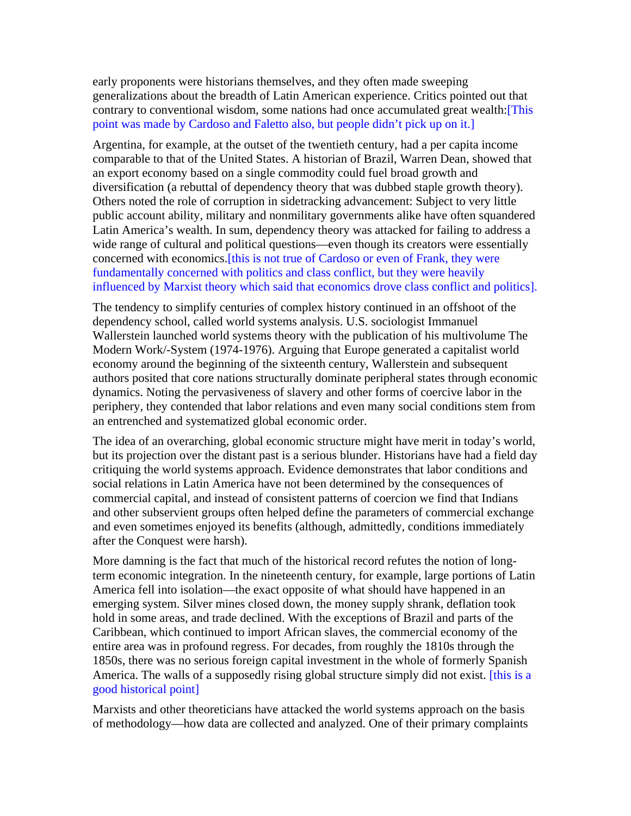early proponents were historians themselves, and they often made sweeping generalizations about the breadth of Latin American experience. Critics pointed out that contrary to conventional wisdom, some nations had once accumulated great wealth:[This point was made by Cardoso and Faletto also, but people didn't pick up on it.]

Argentina, for example, at the outset of the twentieth century, had a per capita income comparable to that of the United States. A historian of Brazil, Warren Dean, showed that an export economy based on a single commodity could fuel broad growth and diversification (a rebuttal of dependency theory that was dubbed staple growth theory). Others noted the role of corruption in sidetracking advancement: Subject to very little public account ability, military and nonmilitary governments alike have often squandered Latin America's wealth. In sum, dependency theory was attacked for failing to address a wide range of cultural and political questions—even though its creators were essentially concerned with economics.[this is not true of Cardoso or even of Frank, they were fundamentally concerned with politics and class conflict, but they were heavily influenced by Marxist theory which said that economics drove class conflict and politics].

The tendency to simplify centuries of complex history continued in an offshoot of the dependency school, called world systems analysis. U.S. sociologist Immanuel Wallerstein launched world systems theory with the publication of his multivolume The Modern Work/-System (1974-1976). Arguing that Europe generated a capitalist world economy around the beginning of the sixteenth century, Wallerstein and subsequent authors posited that core nations structurally dominate peripheral states through economic dynamics. Noting the pervasiveness of slavery and other forms of coercive labor in the periphery, they contended that labor relations and even many social conditions stem from an entrenched and systematized global economic order.

The idea of an overarching, global economic structure might have merit in today's world, but its projection over the distant past is a serious blunder. Historians have had a field day critiquing the world systems approach. Evidence demonstrates that labor conditions and social relations in Latin America have not been determined by the consequences of commercial capital, and instead of consistent patterns of coercion we find that Indians and other subservient groups often helped define the parameters of commercial exchange and even sometimes enjoyed its benefits (although, admittedly, conditions immediately after the Conquest were harsh).

More damning is the fact that much of the historical record refutes the notion of longterm economic integration. In the nineteenth century, for example, large portions of Latin America fell into isolation—the exact opposite of what should have happened in an emerging system. Silver mines closed down, the money supply shrank, deflation took hold in some areas, and trade declined. With the exceptions of Brazil and parts of the Caribbean, which continued to import African slaves, the commercial economy of the entire area was in profound regress. For decades, from roughly the 1810s through the 1850s, there was no serious foreign capital investment in the whole of formerly Spanish America. The walls of a supposedly rising global structure simply did not exist. [this is a good historical point]

Marxists and other theoreticians have attacked the world systems approach on the basis of methodology—how data are collected and analyzed. One of their primary complaints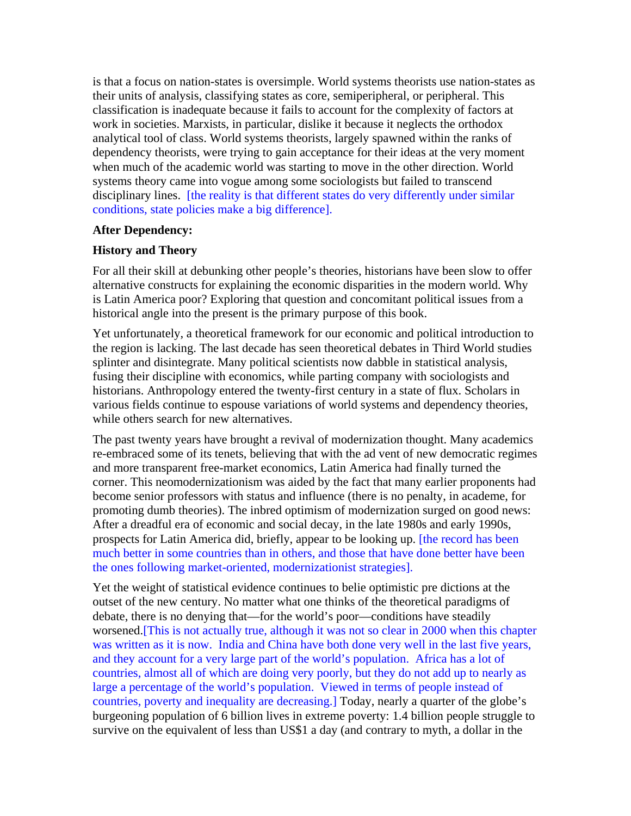is that a focus on nation-states is oversimple. World systems theorists use nation-states as their units of analysis, classifying states as core, semiperipheral, or peripheral. This classification is inadequate because it fails to account for the complexity of factors at work in societies. Marxists, in particular, dislike it because it neglects the orthodox analytical tool of class. World systems theorists, largely spawned within the ranks of dependency theorists, were trying to gain acceptance for their ideas at the very moment when much of the academic world was starting to move in the other direction. World systems theory came into vogue among some sociologists but failed to transcend disciplinary lines. [the reality is that different states do very differently under similar conditions, state policies make a big difference].

### **After Dependency:**

#### **History and Theory**

For all their skill at debunking other people's theories, historians have been slow to offer alternative constructs for explaining the economic disparities in the modern world. Why is Latin America poor? Exploring that question and concomitant political issues from a historical angle into the present is the primary purpose of this book.

Yet unfortunately, a theoretical framework for our economic and political introduction to the region is lacking. The last decade has seen theoretical debates in Third World studies splinter and disintegrate. Many political scientists now dabble in statistical analysis, fusing their discipline with economics, while parting company with sociologists and historians. Anthropology entered the twenty-first century in a state of flux. Scholars in various fields continue to espouse variations of world systems and dependency theories, while others search for new alternatives.

The past twenty years have brought a revival of modernization thought. Many academics re-embraced some of its tenets, believing that with the ad vent of new democratic regimes and more transparent free-market economics, Latin America had finally turned the corner. This neomodernizationism was aided by the fact that many earlier proponents had become senior professors with status and influence (there is no penalty, in academe, for promoting dumb theories). The inbred optimism of modernization surged on good news: After a dreadful era of economic and social decay, in the late 1980s and early 1990s, prospects for Latin America did, briefly, appear to be looking up. [the record has been much better in some countries than in others, and those that have done better have been the ones following market-oriented, modernizationist strategies].

Yet the weight of statistical evidence continues to belie optimistic pre dictions at the outset of the new century. No matter what one thinks of the theoretical paradigms of debate, there is no denying that—for the world's poor—conditions have steadily worsened.[This is not actually true, although it was not so clear in 2000 when this chapter was written as it is now. India and China have both done very well in the last five years, and they account for a very large part of the world's population. Africa has a lot of countries, almost all of which are doing very poorly, but they do not add up to nearly as large a percentage of the world's population. Viewed in terms of people instead of countries, poverty and inequality are decreasing.] Today, nearly a quarter of the globe's burgeoning population of 6 billion lives in extreme poverty: 1.4 billion people struggle to survive on the equivalent of less than US\$1 a day (and contrary to myth, a dollar in the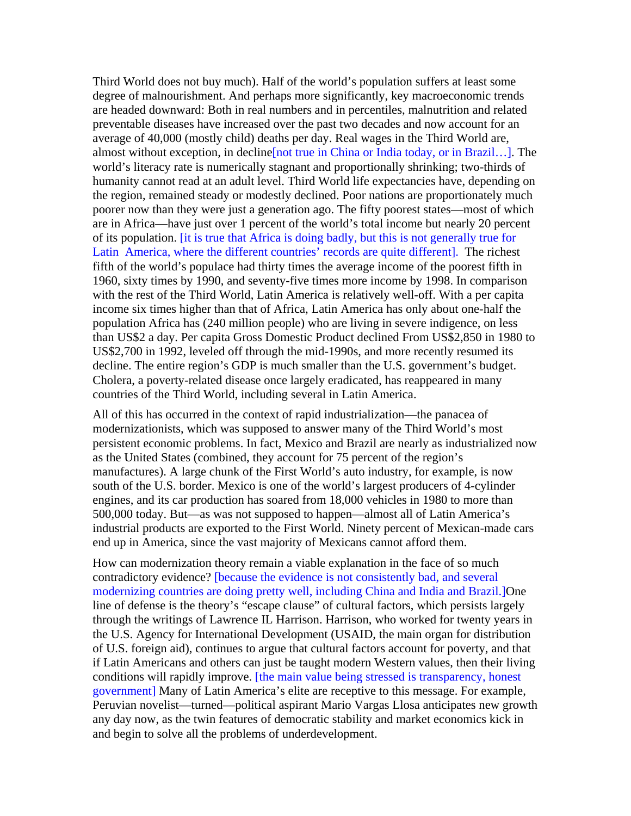Third World does not buy much). Half of the world's population suffers at least some degree of malnourishment. And perhaps more significantly, key macroeconomic trends are headed downward: Both in real numbers and in percentiles, malnutrition and related preventable diseases have increased over the past two decades and now account for an average of 40,000 (mostly child) deaths per day. Real wages in the Third World are, almost without exception, in decline[not true in China or India today, or in Brazil…]. The world's literacy rate is numerically stagnant and proportionally shrinking; two-thirds of humanity cannot read at an adult level. Third World life expectancies have, depending on the region, remained steady or modestly declined. Poor nations are proportionately much poorer now than they were just a generation ago. The fifty poorest states—most of which are in Africa—have just over 1 percent of the world's total income but nearly 20 percent of its population. [it is true that Africa is doing badly, but this is not generally true for Latin America, where the different countries' records are quite different]. The richest fifth of the world's populace had thirty times the average income of the poorest fifth in 1960, sixty times by 1990, and seventy-five times more income by 1998. In comparison with the rest of the Third World, Latin America is relatively well-off. With a per capita income six times higher than that of Africa, Latin America has only about one-half the population Africa has (240 million people) who are living in severe indigence, on less than US\$2 a day. Per capita Gross Domestic Product declined From US\$2,850 in 1980 to US\$2,700 in 1992, leveled off through the mid-1990s, and more recently resumed its decline. The entire region's GDP is much smaller than the U.S. government's budget. Cholera, a poverty-related disease once largely eradicated, has reappeared in many countries of the Third World, including several in Latin America.

All of this has occurred in the context of rapid industrialization—the panacea of modernizationists, which was supposed to answer many of the Third World's most persistent economic problems. In fact, Mexico and Brazil are nearly as industrialized now as the United States (combined, they account for 75 percent of the region's manufactures). A large chunk of the First World's auto industry, for example, is now south of the U.S. border. Mexico is one of the world's largest producers of 4-cylinder engines, and its car production has soared from 18,000 vehicles in 1980 to more than 500,000 today. But—as was not supposed to happen—almost all of Latin America's industrial products are exported to the First World. Ninety percent of Mexican-made cars end up in America, since the vast majority of Mexicans cannot afford them.

How can modernization theory remain a viable explanation in the face of so much contradictory evidence? [because the evidence is not consistently bad, and several modernizing countries are doing pretty well, including China and India and Brazil.]One line of defense is the theory's "escape clause" of cultural factors, which persists largely through the writings of Lawrence IL Harrison. Harrison, who worked for twenty years in the U.S. Agency for International Development (USAID, the main organ for distribution of U.S. foreign aid), continues to argue that cultural factors account for poverty, and that if Latin Americans and others can just be taught modern Western values, then their living conditions will rapidly improve. [the main value being stressed is transparency, honest government] Many of Latin America's elite are receptive to this message. For example, Peruvian novelist—turned—political aspirant Mario Vargas Llosa anticipates new growth any day now, as the twin features of democratic stability and market economics kick in and begin to solve all the problems of underdevelopment.